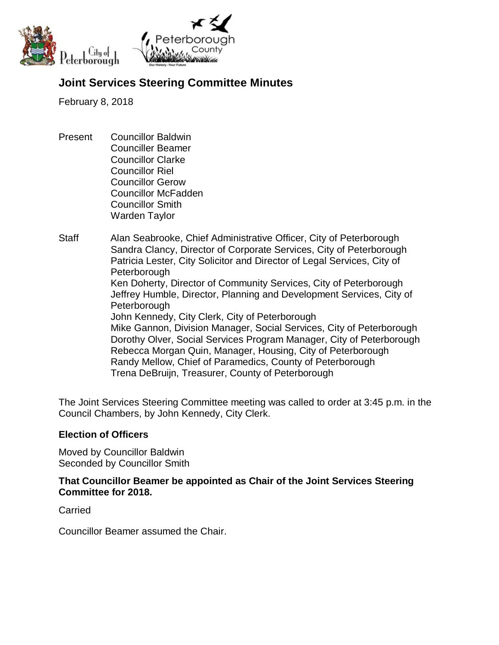

# **Joint Services Steering Committee Minutes**

February 8, 2018

- Present Councillor Baldwin Counciller Beamer Councillor Clarke Councillor Riel Councillor Gerow Councillor McFadden Councillor Smith Warden Taylor
- Staff Alan Seabrooke, Chief Administrative Officer, City of Peterborough Sandra Clancy, Director of Corporate Services, City of Peterborough Patricia Lester, City Solicitor and Director of Legal Services, City of Peterborough Ken Doherty, Director of Community Services, City of Peterborough Jeffrey Humble, Director, Planning and Development Services, City of **Peterborough** John Kennedy, City Clerk, City of Peterborough Mike Gannon, Division Manager, Social Services, City of Peterborough Dorothy Olver, Social Services Program Manager, City of Peterborough Rebecca Morgan Quin, Manager, Housing, City of Peterborough Randy Mellow, Chief of Paramedics, County of Peterborough Trena DeBruijn, Treasurer, County of Peterborough

The Joint Services Steering Committee meeting was called to order at 3:45 p.m. in the Council Chambers, by John Kennedy, City Clerk.

## **Election of Officers**

Moved by Councillor Baldwin Seconded by Councillor Smith

## **That Councillor Beamer be appointed as Chair of the Joint Services Steering Committee for 2018.**

Carried

Councillor Beamer assumed the Chair.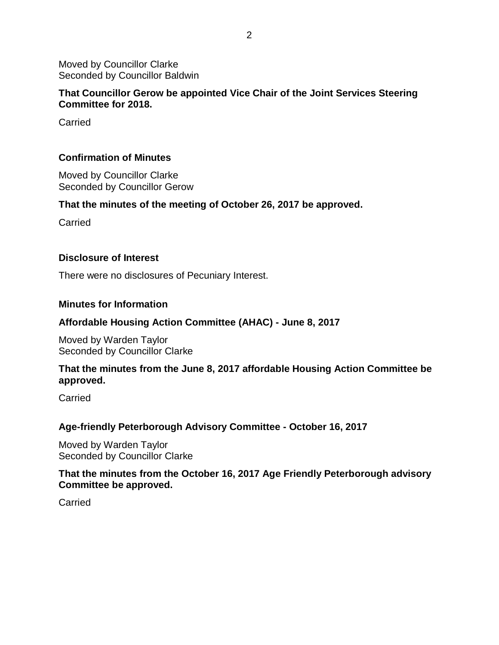Moved by Councillor Clarke Seconded by Councillor Baldwin

### **That Councillor Gerow be appointed Vice Chair of the Joint Services Steering Committee for 2018.**

**Carried** 

## **Confirmation of Minutes**

Moved by Councillor Clarke Seconded by Councillor Gerow

#### **That the minutes of the meeting of October 26, 2017 be approved.**

**Carried** 

#### **Disclosure of Interest**

There were no disclosures of Pecuniary Interest.

#### **Minutes for Information**

#### **Affordable Housing Action Committee (AHAC) - June 8, 2017**

Moved by Warden Taylor Seconded by Councillor Clarke

### **That the minutes from the June 8, 2017 affordable Housing Action Committee be approved.**

**Carried** 

#### **Age-friendly Peterborough Advisory Committee - October 16, 2017**

Moved by Warden Taylor Seconded by Councillor Clarke

### **That the minutes from the October 16, 2017 Age Friendly Peterborough advisory Committee be approved.**

**Carried**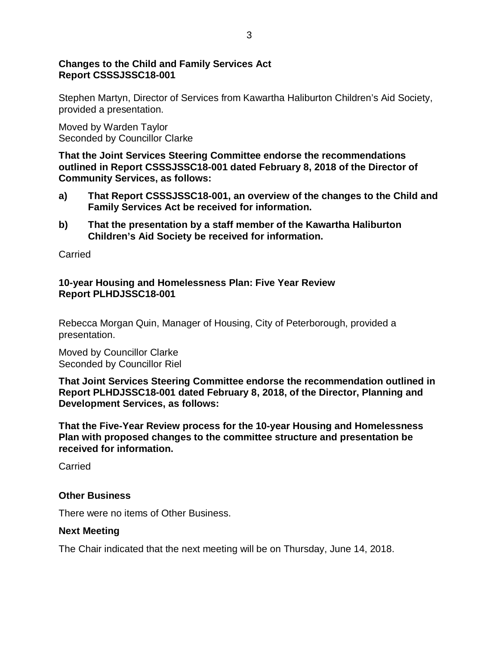## **Changes to the Child and Family Services Act Report CSSSJSSC18-001**

Stephen Martyn, Director of Services from Kawartha Haliburton Children's Aid Society, provided a presentation.

Moved by Warden Taylor Seconded by Councillor Clarke

**That the Joint Services Steering Committee endorse the recommendations outlined in Report CSSSJSSC18-001 dated February 8, 2018 of the Director of Community Services, as follows:**

- **a) That Report CSSSJSSC18-001, an overview of the changes to the Child and Family Services Act be received for information.**
- **b) That the presentation by a staff member of the Kawartha Haliburton Children's Aid Society be received for information.**

**Carried** 

## **10-year Housing and Homelessness Plan: Five Year Review Report PLHDJSSC18-001**

Rebecca Morgan Quin, Manager of Housing, City of Peterborough, provided a presentation.

Moved by Councillor Clarke Seconded by Councillor Riel

**That Joint Services Steering Committee endorse the recommendation outlined in Report PLHDJSSC18-001 dated February 8, 2018, of the Director, Planning and Development Services, as follows:**

**That the Five-Year Review process for the 10-year Housing and Homelessness Plan with proposed changes to the committee structure and presentation be received for information.**

**Carried** 

# **Other Business**

There were no items of Other Business.

# **Next Meeting**

The Chair indicated that the next meeting will be on Thursday, June 14, 2018.